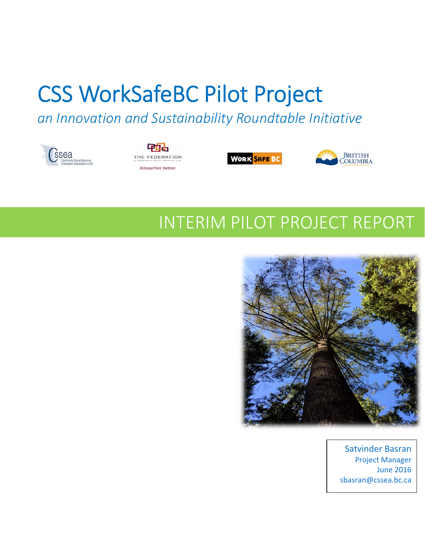# CSS WorkSafeBC Pilot Project

*an Innovation and Sustainability Roundtable Initiative*



THE FEDERATION Altogether better.





### INTERIM PILOT PROJECT REPORT



Satvinder Basran Project Manager June 2016 sbasran@cssea.bc.ca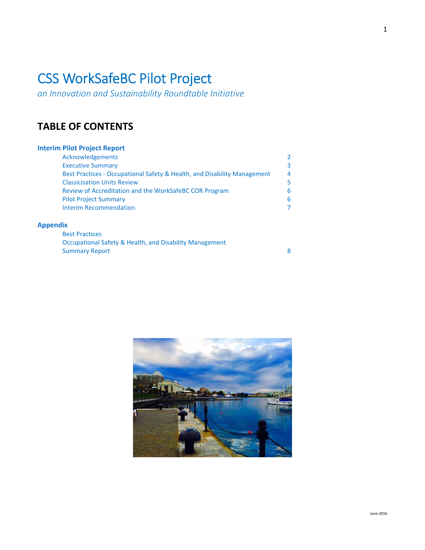### CSS WorkSafeBC Pilot Project

*an Innovation and Sustainability Roundtable Initiative*

### **TABLE OF CONTENTS**

#### **Interim Pilot Project Report**

| Acknowledgements                                                         |                |
|--------------------------------------------------------------------------|----------------|
| <b>Executive Summary</b>                                                 | 3              |
| Best Practices - Occupational Safety & Health, and Disability Management | $\overline{4}$ |
| <b>Classicisation Units Review</b>                                       | 5              |
| Review of Accreditation and the WorkSafeBC COR Program                   | 6              |
| <b>Pilot Project Summary</b>                                             | 6              |
| <b>Interim Recommendation</b>                                            | 7              |
|                                                                          |                |

#### **Appendix**

| <b>Best Practices</b>                                   |  |
|---------------------------------------------------------|--|
| Occupational Safety & Health, and Disability Management |  |
| <b>Summary Report</b>                                   |  |

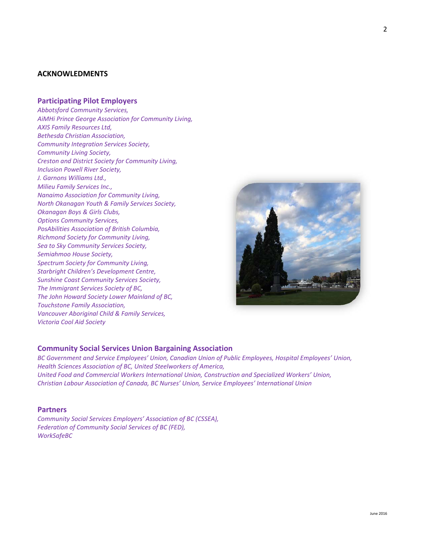#### **ACKNOWLEDMENTS**

#### **Participating Pilot Employers**

*Abbotsford Community Services, AiMHi Prince George Association for Community Living, AXIS Family Resources Ltd, Bethesda Christian Association, Community Integration Services Society, Community Living Society, Creston and District Society for Community Living, Inclusion Powell River Society, J. Garnons Williams Ltd., Milieu Family Services Inc., Nanaimo Association for Community Living, North Okanagan Youth & Family Services Society, Okanagan Boys & Girls Clubs, Options Community Services, PosAbilities Association of British Columbia, Richmond Society for Community Living, Sea to Sky Community Services Society, Semiahmoo House Society, Spectrum Society for Community Living, Starbright Children's Development Centre, Sunshine Coast Community Services Society, The Immigrant Services Society of BC, The John Howard Society Lower Mainland of BC, Touchstone Family Association, Vancouver Aboriginal Child & Family Services, Victoria Cool Aid Society*



#### **Community Social Services Union Bargaining Association**

*BC Government and Service Employees' Union, Canadian Union of Public Employees, Hospital Employees' Union, Health Sciences Association of BC, United Steelworkers of America, United Food and Commercial Workers International Union, Construction and Specialized Workers' Union, Christian Labour Association of Canada, BC Nurses' Union, Service Employees' International Union*

#### **Partners**

*Community Social Services Employers' Association of BC (CSSEA), Federation of Community Social Services of BC (FED), WorkSafeBC*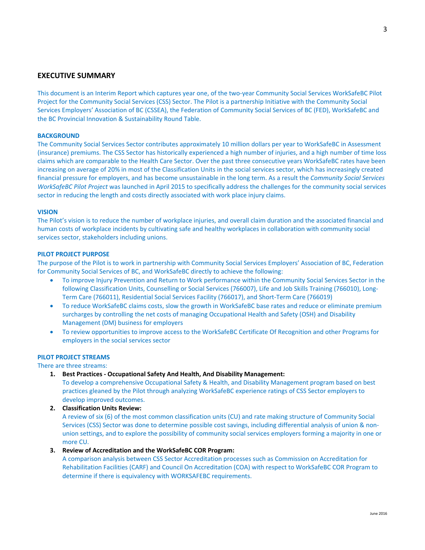This document is an Interim Report which captures year one, of the two-year Community Social Services WorkSafeBC Pilot Project for the Community Social Services (CSS) Sector. The Pilot is a partnership Initiative with the Community Social Services Employers' Association of BC (CSSEA), the Federation of Community Social Services of BC (FED), WorkSafeBC and the BC Provincial Innovation & Sustainability Round Table.

#### **BACKGROUND**

The Community Social Services Sector contributes approximately 10 million dollars per year to WorkSafeBC in Assessment (insurance) premiums. The CSS Sector has historically experienced a high number of injuries, and a high number of time loss claims which are comparable to the Health Care Sector. Over the past three consecutive years WorkSafeBC rates have been increasing on average of 20% in most of the Classification Units in the social services sector, which has increasingly created financial pressure for employers, and has become unsustainable in the long term. As a result the *Community Social Services WorkSafeBC Pilot Project* was launched in April 2015 to specifically address the challenges for the community social services sector in reducing the length and costs directly associated with work place injury claims.

#### **VISION**

The Pilot's vision is to reduce the number of workplace injuries, and overall claim duration and the associated financial and human costs of workplace incidents by cultivating safe and healthy workplaces in collaboration with community social services sector, stakeholders including unions.

#### **PILOT PROJECT PURPOSE**

The purpose of the Pilot is to work in partnership with Community Social Services Employers' Association of BC, Federation for Community Social Services of BC, and WorkSafeBC directly to achieve the following:

- To improve Injury Prevention and Return to Work performance within the Community Social Services Sector in the following Classification Units, Counselling or Social Services (766007), Life and Job Skills Training (766010), Long-Term Care (766011), Residential Social Services Facility (766017), and Short‐Term Care (766019)
- To reduce WorkSafeBC claims costs, slow the growth in WorkSafeBC base rates and reduce or eliminate premium surcharges by controlling the net costs of managing Occupational Health and Safety (OSH) and Disability Management (DM) business for employers
- To review opportunities to improve access to the WorkSafeBC Certificate Of Recognition and other Programs for employers in the social services sector

#### **PILOT PROJECT STREAMS**

There are three streams:

**1. Best Practices ‐ Occupational Safety And Health, And Disability Management:**

To develop a comprehensive Occupational Safety & Health, and Disability Management program based on best practices gleaned by the Pilot through analyzing WorkSafeBC experience ratings of CSS Sector employers to develop improved outcomes.

**2. Classification Units Review:** 

A review of six (6) of the most common classification units (CU) and rate making structure of Community Social Services (CSS) Sector was done to determine possible cost savings, including differential analysis of union & non‐ union settings, and to explore the possibility of community social services employers forming a majority in one or more CU.

**3. Review of Accreditation and the WorkSafeBC COR Program:** 

A comparison analysis between CSS Sector Accreditation processes such as Commission on Accreditation for Rehabilitation Facilities (CARF) and Council On Accreditation (COA) with respect to WorkSafeBC COR Program to determine if there is equivalency with WORKSAFEBC requirements.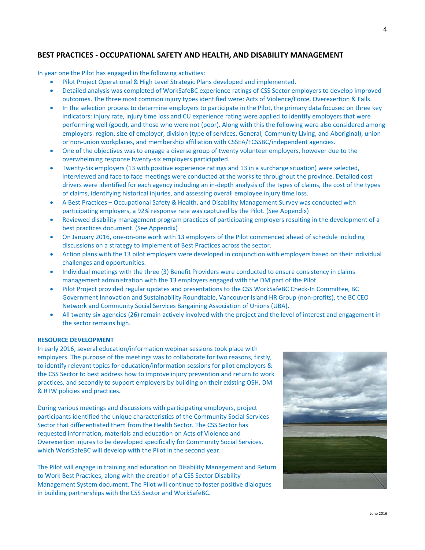#### **BEST PRACTICES ‐ OCCUPATIONAL SAFETY AND HEALTH, AND DISABILITY MANAGEMENT**

In year one the Pilot has engaged in the following activities:

- Pilot Project Operational & High Level Strategic Plans developed and implemented.
- Detailed analysis was completed of WorkSafeBC experience ratings of CSS Sector employers to develop improved outcomes. The three most common injury types identified were: Acts of Violence/Force, Overexertion & Falls.
- In the selection process to determine employers to participate in the Pilot, the primary data focused on three key indicators: injury rate, injury time loss and CU experience rating were applied to identify employers that were performing well (good), and those who were not (poor). Along with this the following were also considered among employers: region, size of employer, division (type of services, General, Community Living, and Aboriginal), union or non‐union workplaces, and membership affiliation with CSSEA/FCSSBC/independent agencies.
- One of the objectives was to engage a diverse group of twenty volunteer employers, however due to the overwhelming response twenty‐six employers participated.
- Twenty‐Six employers (13 with positive experience ratings and 13 in a surcharge situation) were selected, interviewed and face to face meetings were conducted at the worksite throughout the province. Detailed cost drivers were identified for each agency including an in‐depth analysis of the types of claims, the cost of the types of claims, identifying historical injuries, and assessing overall employee injury time loss.
- A Best Practices Occupational Safety & Health, and Disability Management Survey was conducted with participating employers, a 92% response rate was captured by the Pilot. (See Appendix)
- Reviewed disability management program practices of participating employers resulting in the development of a best practices document. (See Appendix)
- On January 2016, one-on-one work with 13 employers of the Pilot commenced ahead of schedule including discussions on a strategy to implement of Best Practices across the sector.
- Action plans with the 13 pilot employers were developed in conjunction with employers based on their individual challenges and opportunities.
- Individual meetings with the three (3) Benefit Providers were conducted to ensure consistency in claims management administration with the 13 employers engaged with the DM part of the Pilot.
- Pilot Project provided regular updates and presentations to the CSS WorkSafeBC Check‐In Committee, BC Government Innovation and Sustainability Roundtable, Vancouver Island HR Group (non‐profits), the BC CEO Network and Community Social Services Bargaining Association of Unions (UBA).
- All twenty‐six agencies (26) remain actively involved with the project and the level of interest and engagement in the sector remains high.

#### **RESOURCE DEVELOPMENT**

In early 2016, several education/information webinar sessions took place with employers. The purpose of the meetings was to collaborate for two reasons, firstly, to identify relevant topics for education/information sessions for pilot employers & the CSS Sector to best address how to improve injury prevention and return to work practices, and secondly to support employers by building on their existing OSH, DM & RTW policies and practices.

During various meetings and discussions with participating employers, project participants identified the unique characteristics of the Community Social Services Sector that differentiated them from the Health Sector. The CSS Sector has requested information, materials and education on Acts of Violence and Overexertion injures to be developed specifically for Community Social Services, which WorkSafeBC will develop with the Pilot in the second year.

The Pilot will engage in training and education on Disability Management and Return to Work Best Practices, along with the creation of a CSS Sector Disability Management System document. The Pilot will continue to foster positive dialogues in building partnerships with the CSS Sector and WorkSafeBC.

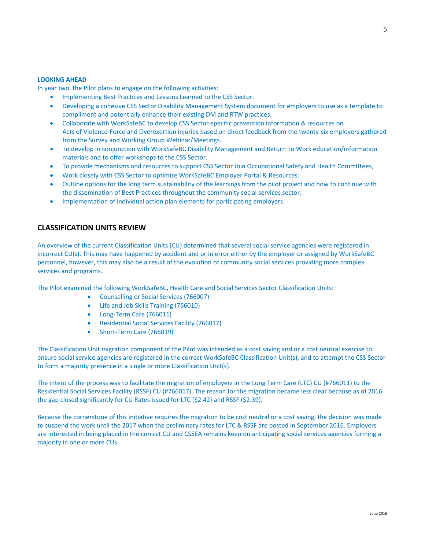#### **LOOKING AHEAD**

In year two, the Pilot plans to engage on the following activities:

- Implementing Best Practices and Lessons Learned to the CSS Sector.
- Developing a cohesive CSS Sector Disability Management System document for employers to use as a template to compliment and potentially enhance their existing DM and RTW practices.
- Collaborate with WorkSafeBC to develop CSS Sector‐specific prevention information & resources on Acts of Violence‐Force and Overexertion injuries based on direct feedback from the twenty‐six employers gathered from the Survey and Working Group Webinar/Meetings.
- To develop in conjunction with WorkSafeBC Disability Management and Return To Work education/information materials and to offer workshops to the CSS Sector.
- To provide mechanisms and resources to support CSS Sector Join Occupational Safety and Health Committees,
- Work closely with CSS Sector to optimize WorkSafeBC Employer Portal & Resources.
- Outline options for the long term sustainability of the learnings from the pilot project and how to continue with the dissemination of Best Practices throughout the community social services sector.
- Implementation of individual action plan elements for participating employers.

#### **CLASSIFICATION UNITS REVIEW**

An overview of the current Classification Units (CU) determined that several social service agencies were registered in incorrect CU(s). This may have happened by accident and or in error either by the employer or assigned by WorkSafeBC personnel, however, this may also be a result of the evolution of community social services providing more complex services and programs.

The Pilot examined the following WorkSafeBC, Health Care and Social Services Sector Classification Units:

- Counselling or Social Services (766007)
- Life and Job Skills Training (766010)
- Long-Term Care (766011)
- Residential Social Services Facility (766017)
- Short-Term Care (766019)

The Classification Unit migration component of the Pilot was intended as a cost saving and or a cost neutral exercise to ensure social service agencies are registered in the correct WorkSafeBC Classification Unit(s), and to attempt the CSS Sector to form a majority presence in a single or more Classification Unit(s).

The intent of the process was to facilitate the migration of employers in the Long Term Care (LTC) CU (#766011) to the Residential Social Services Facility (RSSF) CU (#766017). The reason for the migration became less clear because as of 2016 the gap closed significantly for CU Rates issued for LTC (\$2.42) and RSSF (\$2.39).

Because the cornerstone of this initiative requires the migration to be cost neutral or a cost saving, the decision was made to suspend the work until the 2017 when the preliminary rates for LTC & RSSF are posted in September 2016. Employers are interested in being placed in the correct CU and CSSEA remains keen on anticipating social services agencies forming a majority in one or more CUs.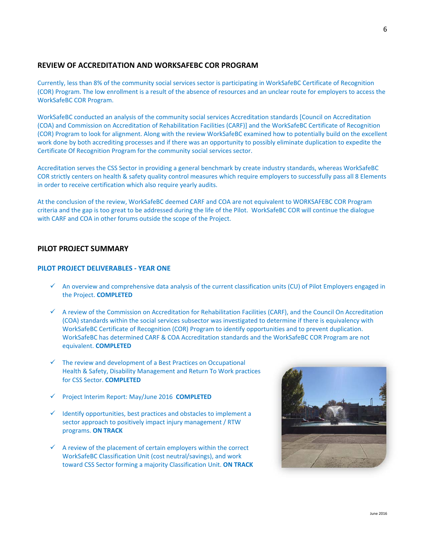#### **REVIEW OF ACCREDITATION AND WORKSAFEBC COR PROGRAM**

Currently, less than 8% of the community social services sector is participating in WorkSafeBC Certificate of Recognition (COR) Program. The low enrollment is a result of the absence of resources and an unclear route for employers to access the WorkSafeBC COR Program.

WorkSafeBC conducted an analysis of the community social services Accreditation standards [Council on Accreditation (COA) and Commission on Accreditation of Rehabilitation Facilities (CARF)] and the WorkSafeBC Certificate of Recognition (COR) Program to look for alignment. Along with the review WorkSafeBC examined how to potentially build on the excellent work done by both accrediting processes and if there was an opportunity to possibly eliminate duplication to expedite the Certificate Of Recognition Program for the community social services sector.

Accreditation serves the CSS Sector in providing a general benchmark by create industry standards, whereas WorkSafeBC COR strictly centers on health & safety quality control measures which require employers to successfully pass all 8 Elements in order to receive certification which also require yearly audits.

At the conclusion of the review, WorkSafeBC deemed CARF and COA are not equivalent to WORKSAFEBC COR Program criteria and the gap is too great to be addressed during the life of the Pilot. WorkSafeBC COR will continue the dialogue with CARF and COA in other forums outside the scope of the Project.

#### **PILOT PROJECT SUMMARY**

#### **PILOT PROJECT DELIVERABLES ‐ YEAR ONE**

- An overview and comprehensive data analysis of the current classification units (CU) of Pilot Employers engaged in the Project. **COMPLETED**
- $\checkmark$  A review of the Commission on Accreditation for Rehabilitation Facilities (CARF), and the Council On Accreditation (COA) standards within the social services subsector was investigated to determine if there is equivalency with WorkSafeBC Certificate of Recognition (COR) Program to identify opportunities and to prevent duplication. WorkSafeBC has determined CARF & COA Accreditation standards and the WorkSafeBC COR Program are not equivalent. **COMPLETED**
- $\checkmark$  The review and development of a Best Practices on Occupational Health & Safety, Disability Management and Return To Work practices for CSS Sector. **COMPLETED**
- Project Interim Report: May/June 2016 **COMPLETED**
- $\checkmark$  Identify opportunities, best practices and obstacles to implement a sector approach to positively impact injury management / RTW programs. **ON TRACK**
- $\checkmark$  A review of the placement of certain employers within the correct WorkSafeBC Classification Unit (cost neutral/savings), and work toward CSS Sector forming a majority Classification Unit. **ON TRACK**

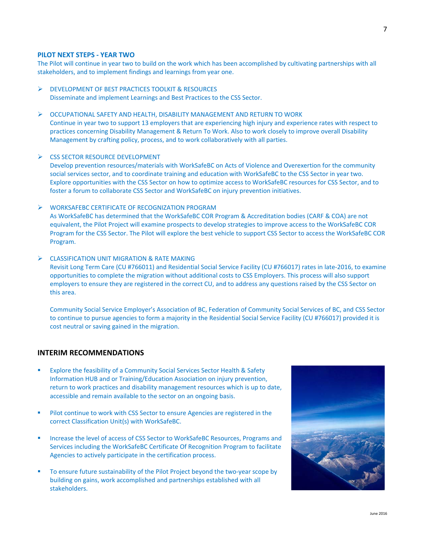#### **PILOT NEXT STEPS ‐ YEAR TWO**

The Pilot will continue in year two to build on the work which has been accomplished by cultivating partnerships with all stakeholders, and to implement findings and learnings from year one.

- **EXECUTE DEVELOPMENT OF BEST PRACTICES TOOLKIT & RESOURCES** Disseminate and implement Learnings and Best Practices to the CSS Sector.
- $\triangleright$  OCCUPATIONAL SAFETY AND HEALTH, DISABILITY MANAGEMENT AND RETURN TO WORK Continue in year two to support 13 employers that are experiencing high injury and experience rates with respect to practices concerning Disability Management & Return To Work. Also to work closely to improve overall Disability Management by crafting policy, process, and to work collaboratively with all parties.

#### CSS SECTOR RESOURCE DEVELOPMENT

Develop prevention resources/materials with WorkSafeBC on Acts of Violence and Overexertion for the community social services sector, and to coordinate training and education with WorkSafeBC to the CSS Sector in year two. Explore opportunities with the CSS Sector on how to optimize access to WorkSafeBC resources for CSS Sector, and to foster a forum to collaborate CSS Sector and WorkSafeBC on injury prevention initiatives.

WORKSAFEBC CERTIFICATE OF RECOGNIZATION PROGRAM

As WorkSafeBC has determined that the WorkSafeBC COR Program & Accreditation bodies (CARF & COA) are not equivalent, the Pilot Project will examine prospects to develop strategies to improve access to the WorkSafeBC COR Program for the CSS Sector. The Pilot will explore the best vehicle to support CSS Sector to access the WorkSafeBC COR Program.

 $\triangleright$  CLASSIFICATION UNIT MIGRATION & RATE MAKING

Revisit Long Term Care (CU #766011) and Residential Social Service Facility (CU #766017) rates in late‐2016, to examine opportunities to complete the migration without additional costs to CSS Employers. This process will also support employers to ensure they are registered in the correct CU, and to address any questions raised by the CSS Sector on this area.

Community Social Service Employer's Association of BC, Federation of Community Social Services of BC, and CSS Sector to continue to pursue agencies to form a majority in the Residential Social Service Facility (CU #766017) provided it is cost neutral or saving gained in the migration.

#### **INTERIM RECOMMENDATIONS**

- Explore the feasibility of a Community Social Services Sector Health & Safety Information HUB and or Training/Education Association on injury prevention, return to work practices and disability management resources which is up to date, accessible and remain available to the sector on an ongoing basis.
- Pilot continue to work with CSS Sector to ensure Agencies are registered in the correct Classification Unit(s) with WorkSafeBC.
- Increase the level of access of CSS Sector to WorkSafeBC Resources, Programs and Services including the WorkSafeBC Certificate Of Recognition Program to facilitate Agencies to actively participate in the certification process.
- To ensure future sustainability of the Pilot Project beyond the two‐year scope by building on gains, work accomplished and partnerships established with all stakeholders.

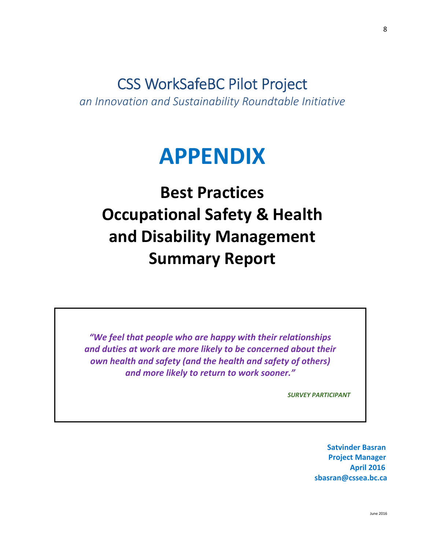# CSS WorkSafeBC Pilot Project

*an Innovation and Sustainability Roundtable Initiative*

## **APPENDIX**

## **Best Practices Occupational Safety & Health and Disability Management Summary Report**

*"We feel that people who are happy with their relationships and duties at work are more likely to be concerned about their own health and safety (and the health and safety of others) and more likely to return to work sooner."*

*SURVEY PARTICIPANT*

 **Satvinder Basran Project Manager**  $\lambda$  **pril 2016 sbasran@cssea.bc.ca**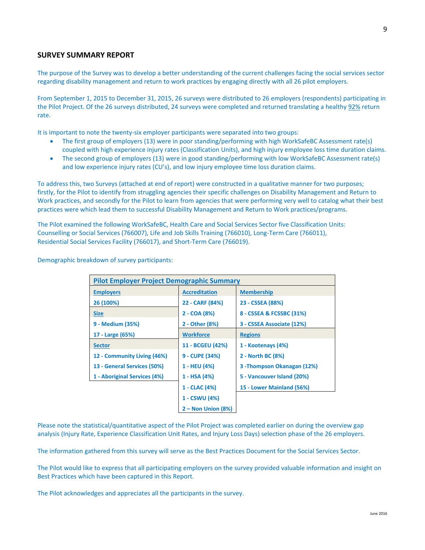#### **SURVEY SUMMARY REPORT**

The purpose of the Survey was to develop a better understanding of the current challenges facing the social services sector regarding disability management and return to work practices by engaging directly with all 26 pilot employers.

From September 1, 2015 to December 31, 2015, 26 surveys were distributed to 26 employers (respondents) participating in the Pilot Project. Of the 26 surveys distributed, 24 surveys were completed and returned translating a healthy 92% return rate.

It is important to note the twenty-six employer participants were separated into two groups:

- The first group of employers (13) were in poor standing/performing with high WorkSafeBC Assessment rate(s) coupled with high experience injury rates (Classification Units), and high injury employee loss time duration claims.
- The second group of employers (13) were in good standing/performing with low WorkSafeBC Assessment rate(s) and low experience injury rates (CU's), and low injury employee time loss duration claims.

To address this, two Surveys (attached at end of report) were constructed in a qualitative manner for two purposes; firstly, for the Pilot to identify from struggling agencies their specific challenges on Disability Management and Return to Work practices, and secondly for the Pilot to learn from agencies that were performing very well to catalog what their best practices were which lead them to successful Disability Management and Return to Work practices/programs.

The Pilot examined the following WorkSafeBC, Health Care and Social Services Sector five Classification Units: Counselling or Social Services (766007), Life and Job Skills Training (766010), Long‐Term Care (766011), Residential Social Services Facility (766017), and Short‐Term Care (766019).

| <b>Pilot Employer Project Demographic Summary</b> |                      |                             |
|---------------------------------------------------|----------------------|-----------------------------|
| <b>Employers</b>                                  | <b>Accreditation</b> | <b>Membership</b>           |
| 26 (100%)                                         | 22 - CARF (84%)      | 23 - CSSEA (88%)            |
| <b>Size</b>                                       | $2 - COA (8%)$       | 8 - CSSEA & FCSSBC (31%)    |
| 9 - Medium (35%)                                  | 2 - Other (8%)       | 3 - CSSEA Associate (12%)   |
| 17 - Large (65%)                                  | <b>Workforce</b>     | <b>Regions</b>              |
| <b>Sector</b>                                     | 11 - BCGEU (42%)     | 1 - Kootenays (4%)          |
| 12 - Community Living (46%)                       | 9 - CUPE (34%)       | 2 - North BC (8%)           |
| 13 - General Services (50%)                       | 1 - HEU (4%)         | 3 - Thompson Okanagan (12%) |
| 1 - Aboriginal Services (4%)                      | 1 - HSA (4%)         | 5 - Vancouver Island (20%)  |
|                                                   | 1 - CLAC (4%)        | 15 - Lower Mainland (56%)   |
|                                                   | 1 - CSWU (4%)        |                             |
|                                                   | $2 -$ Non Union (8%) |                             |

Demographic breakdown of survey participants:

Please note the statistical/quantitative aspect of the Pilot Project was completed earlier on during the overview gap analysis (Injury Rate, Experience Classification Unit Rates, and Injury Loss Days) selection phase of the 26 employers.

The information gathered from this survey will serve as the Best Practices Document for the Social Services Sector.

The Pilot would like to express that all participating employers on the survey provided valuable information and insight on Best Practices which have been captured in this Report.

The Pilot acknowledges and appreciates all the participants in the survey.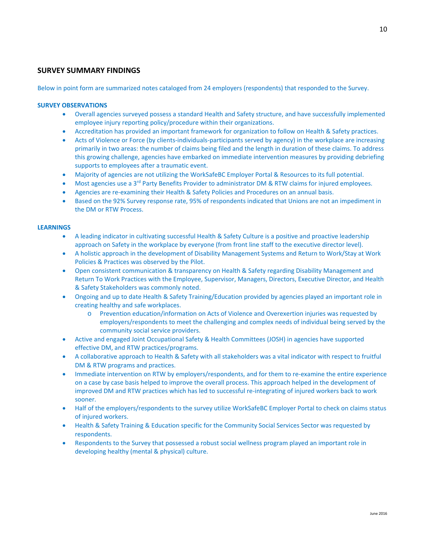#### **SURVEY SUMMARY FINDINGS**

Below in point form are summarized notes cataloged from 24 employers (respondents) that responded to the Survey.

#### **SURVEY OBSERVATIONS**

- Overall agencies surveyed possess a standard Health and Safety structure, and have successfully implemented employee injury reporting policy/procedure within their organizations.
- Accreditation has provided an important framework for organization to follow on Health & Safety practices.
- Acts of Violence or Force (by clients-individuals-participants served by agency) in the workplace are increasing primarily in two areas: the number of claims being filed and the length in duration of these claims. To address this growing challenge, agencies have embarked on immediate intervention measures by providing debriefing supports to employees after a traumatic event.
- Majority of agencies are not utilizing the WorkSafeBC Employer Portal & Resources to its full potential.
- Most agencies use a 3<sup>rd</sup> Party Benefits Provider to administrator DM & RTW claims for injured employees.
- Agencies are re-examining their Health & Safety Policies and Procedures on an annual basis.
- Based on the 92% Survey response rate, 95% of respondents indicated that Unions are not an impediment in the DM or RTW Process.

#### **LEARNINGS**

- A leading indicator in cultivating successful Health & Safety Culture is a positive and proactive leadership approach on Safety in the workplace by everyone (from front line staff to the executive director level).
- A holistic approach in the development of Disability Management Systems and Return to Work/Stay at Work Policies & Practices was observed by the Pilot.
- Open consistent communication & transparency on Health & Safety regarding Disability Management and Return To Work Practices with the Employee, Supervisor, Managers, Directors, Executive Director, and Health & Safety Stakeholders was commonly noted.
- Ongoing and up to date Health & Safety Training/Education provided by agencies played an important role in creating healthy and safe workplaces.
	- o Prevention education/information on Acts of Violence and Overexertion injuries was requested by employers/respondents to meet the challenging and complex needs of individual being served by the community social service providers.
- Active and engaged Joint Occupational Safety & Health Committees (JOSH) in agencies have supported effective DM, and RTW practices/programs.
- A collaborative approach to Health & Safety with all stakeholders was a vital indicator with respect to fruitful DM & RTW programs and practices.
- Immediate intervention on RTW by employers/respondents, and for them to re-examine the entire experience on a case by case basis helped to improve the overall process. This approach helped in the development of improved DM and RTW practices which has led to successful re-integrating of injured workers back to work sooner.
- Half of the employers/respondents to the survey utilize WorkSafeBC Employer Portal to check on claims status of injured workers.
- Health & Safety Training & Education specific for the Community Social Services Sector was requested by respondents.
- Respondents to the Survey that possessed a robust social wellness program played an important role in developing healthy (mental & physical) culture.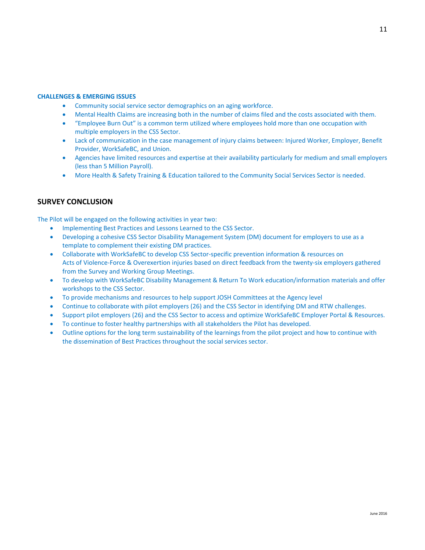#### **CHALLENGES & EMERGING ISSUES**

- Community social service sector demographics on an aging workforce.
- Mental Health Claims are increasing both in the number of claims filed and the costs associated with them.
- "Employee Burn Out" is a common term utilized where employees hold more than one occupation with multiple employers in the CSS Sector.
- Lack of communication in the case management of injury claims between: Injured Worker, Employer, Benefit Provider, WorkSafeBC, and Union.
- Agencies have limited resources and expertise at their availability particularly for medium and small employers (less than 5 Million Payroll).
- More Health & Safety Training & Education tailored to the Community Social Services Sector is needed.

#### **SURVEY CONCLUSION**

The Pilot will be engaged on the following activities in year two:

- Implementing Best Practices and Lessons Learned to the CSS Sector.
- Developing a cohesive CSS Sector Disability Management System (DM) document for employers to use as a template to complement their existing DM practices.
- Collaborate with WorkSafeBC to develop CSS Sector-specific prevention information & resources on Acts of Violence-Force & Overexertion injuries based on direct feedback from the twenty-six employers gathered from the Survey and Working Group Meetings.
- To develop with WorkSafeBC Disability Management & Return To Work education/information materials and offer workshops to the CSS Sector.
- To provide mechanisms and resources to help support JOSH Committees at the Agency level
- Continue to collaborate with pilot employers (26) and the CSS Sector in identifying DM and RTW challenges.
- Support pilot employers (26) and the CSS Sector to access and optimize WorkSafeBC Employer Portal & Resources.
- To continue to foster healthy partnerships with all stakeholders the Pilot has developed.
- Outline options for the long term sustainability of the learnings from the pilot project and how to continue with the dissemination of Best Practices throughout the social services sector.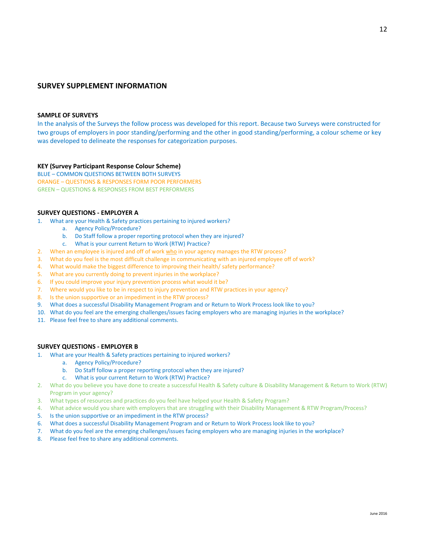#### **SURVEY SUPPLEMENT INFORMATION**

#### **SAMPLE OF SURVEYS**

In the analysis of the Surveys the follow process was developed for this report. Because two Surveys were constructed for two groups of employers in poor standing/performing and the other in good standing/performing, a colour scheme or key was developed to delineate the responses for categorization purposes.

#### **KEY (Survey Participant Response Colour Scheme)**

BLUE – COMMON QUESTIONS BETWEEN BOTH SURVEYS ORANGE – QUESTIONS & RESPONSES FORM POOR PERFORMERS GREEN – QUESTIONS & RESPONSES FROM BEST PERFORMERS

#### **SURVEY QUESTIONS ‐ EMPLOYER A**

- 1. What are your Health & Safety practices pertaining to injured workers?
	- a. Agency Policy/Procedure?
	- b. Do Staff follow a proper reporting protocol when they are injured?
	- c. What is your current Return to Work (RTW) Practice?
- 2. When an employee is injured and off of work who in your agency manages the RTW process?
- 3. What do you feel is the most difficult challenge in communicating with an injured employee off of work?
- 4. What would make the biggest difference to improving their health/ safety performance?
- 5. What are you currently doing to prevent injuries in the workplace?
- 6. If you could improve your injury prevention process what would it be?
- 7. Where would you like to be in respect to injury prevention and RTW practices in your agency?
- 8. Is the union supportive or an impediment in the RTW process?
- 9. What does a successful Disability Management Program and or Return to Work Process look like to you?
- 10. What do you feel are the emerging challenges/issues facing employers who are managing injuries in the workplace?
- 11. Please feel free to share any additional comments.

#### **SURVEY QUESTIONS ‐ EMPLOYER B**

- 1. What are your Health & Safety practices pertaining to injured workers?
	- a. Agency Policy/Procedure?
		- b. Do Staff follow a proper reporting protocol when they are injured?
	- c. What is your current Return to Work (RTW) Practice?
- 2. What do you believe you have done to create a successful Health & Safety culture & Disability Management & Return to Work (RTW) Program in your agency?
- 3. What types of resources and practices do you feel have helped your Health & Safety Program?
- 4. What advice would you share with employers that are struggling with their Disability Management & RTW Program/Process?
- 5. Is the union supportive or an impediment in the RTW process?
- 6. What does a successful Disability Management Program and or Return to Work Process look like to you?
- 7. What do you feel are the emerging challenges/issues facing employers who are managing injuries in the workplace?
- 8. Please feel free to share any additional comments.